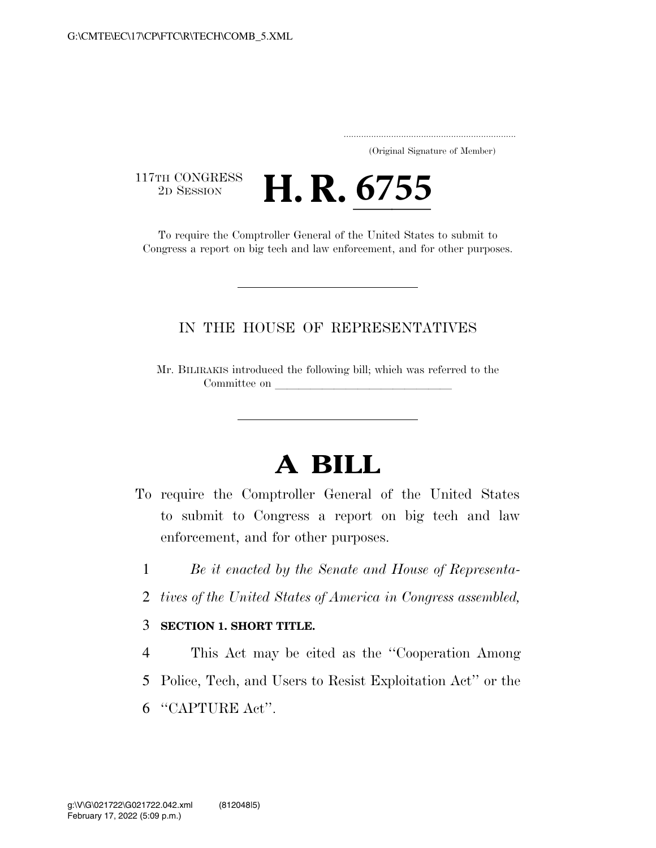..................................................................... (Original Signature of Member)

117TH CONGRESS<br>2D SESSION

THE CONGRESS **H. R. 6755**<br>To require the Comptroller General of the United States to submit to

Congress a report on big tech and law enforcement, and for other purposes.

## IN THE HOUSE OF REPRESENTATIVES

Mr. BILIRAKIS introduced the following bill; which was referred to the Committee on

## **A BILL**

- To require the Comptroller General of the United States to submit to Congress a report on big tech and law enforcement, and for other purposes.
	- 1 *Be it enacted by the Senate and House of Representa-*
	- 2 *tives of the United States of America in Congress assembled,*

## 3 **SECTION 1. SHORT TITLE.**

4 This Act may be cited as the ''Cooperation Among 5 Police, Tech, and Users to Resist Exploitation Act'' or the 6 ''CAPTURE Act''.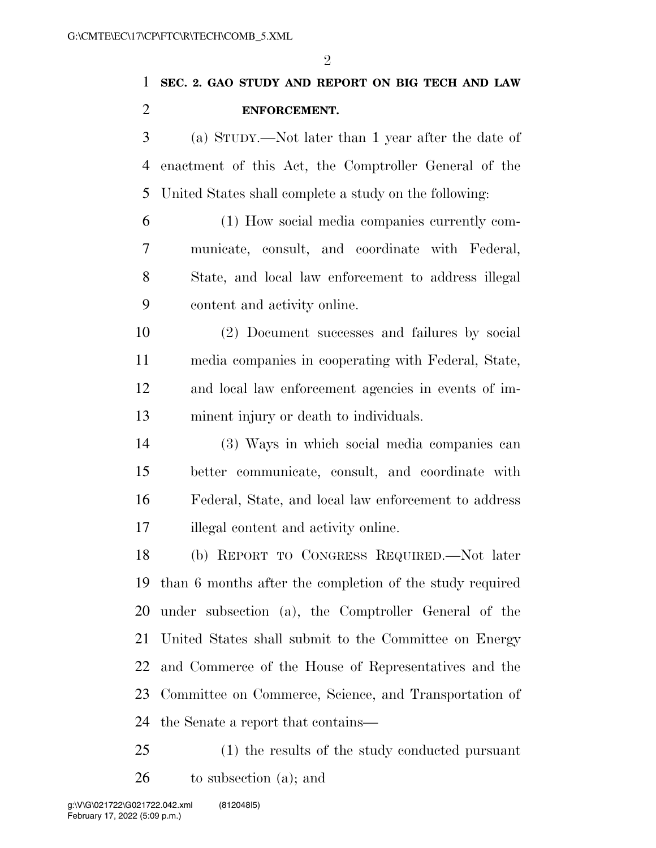(a) STUDY.—Not later than 1 year after the date of enactment of this Act, the Comptroller General of the United States shall complete a study on the following:

 (1) How social media companies currently com- municate, consult, and coordinate with Federal, State, and local law enforcement to address illegal content and activity online.

 (2) Document successes and failures by social media companies in cooperating with Federal, State, and local law enforcement agencies in events of im-minent injury or death to individuals.

 (3) Ways in which social media companies can better communicate, consult, and coordinate with Federal, State, and local law enforcement to address illegal content and activity online.

 (b) REPORT TO CONGRESS REQUIRED.—Not later than 6 months after the completion of the study required under subsection (a), the Comptroller General of the United States shall submit to the Committee on Energy and Commerce of the House of Representatives and the Committee on Commerce, Science, and Transportation of the Senate a report that contains—

 (1) the results of the study conducted pursuant to subsection (a); and